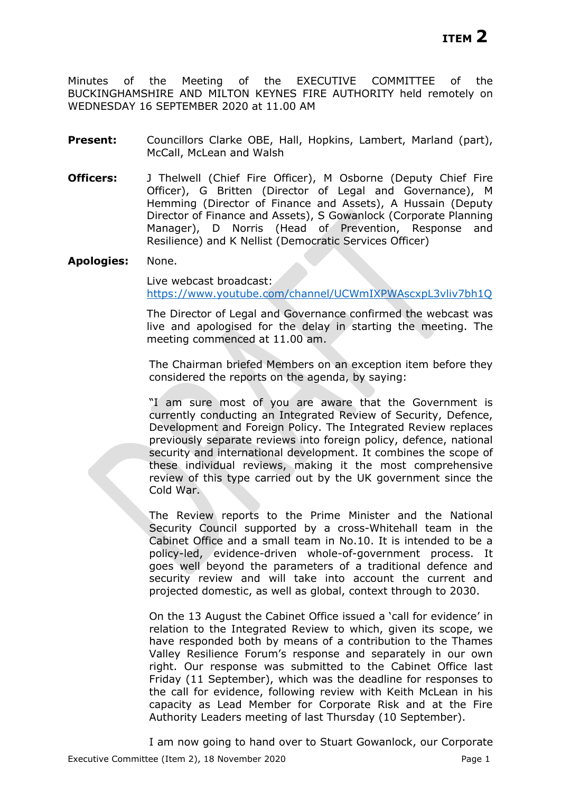Minutes of the Meeting of the EXECUTIVE COMMITTEE of the BUCKINGHAMSHIRE AND MILTON KEYNES FIRE AUTHORITY held remotely on WEDNESDAY 16 SEPTEMBER 2020 at 11.00 AM

- **Present:** Councillors Clarke OBE, Hall, Hopkins, Lambert, Marland (part), McCall, McLean and Walsh
- **Officers:** J Thelwell (Chief Fire Officer), M Osborne (Deputy Chief Fire Officer), G Britten (Director of Legal and Governance), M Hemming (Director of Finance and Assets), A Hussain (Deputy Director of Finance and Assets), S Gowanlock (Corporate Planning Manager), D Norris (Head of Prevention, Response and Resilience) and K Nellist (Democratic Services Officer)
- **Apologies:** None.

Live webcast broadcast: <https://www.youtube.com/channel/UCWmIXPWAscxpL3vliv7bh1Q>

The Director of Legal and Governance confirmed the webcast was live and apologised for the delay in starting the meeting. The meeting commenced at 11.00 am.

The Chairman briefed Members on an exception item before they considered the reports on the agenda, by saying:

"I am sure most of you are aware that the Government is currently conducting an Integrated Review of Security, Defence, Development and Foreign Policy. The Integrated Review replaces previously separate reviews into foreign policy, defence, national security and international development. It combines the scope of these individual reviews, making it the most comprehensive review of this type carried out by the UK government since the Cold War.

The Review reports to the Prime Minister and the National Security Council supported by a cross-Whitehall team in the Cabinet Office and a small team in No.10. It is intended to be a policy-led, evidence-driven whole-of-government process. It goes well beyond the parameters of a traditional defence and security review and will take into account the current and projected domestic, as well as global, context through to 2030.

On the 13 August the Cabinet Office issued a 'call for evidence' in relation to the Integrated Review to which, given its scope, we have responded both by means of a contribution to the Thames Valley Resilience Forum's response and separately in our own right. Our response was submitted to the Cabinet Office last Friday (11 September), which was the deadline for responses to the call for evidence, following review with Keith McLean in his capacity as Lead Member for Corporate Risk and at the Fire Authority Leaders meeting of last Thursday (10 September).

Executive Committee (Item 2), 18 November 2020 **Page 1** Page 1 I am now going to hand over to Stuart Gowanlock, our Corporate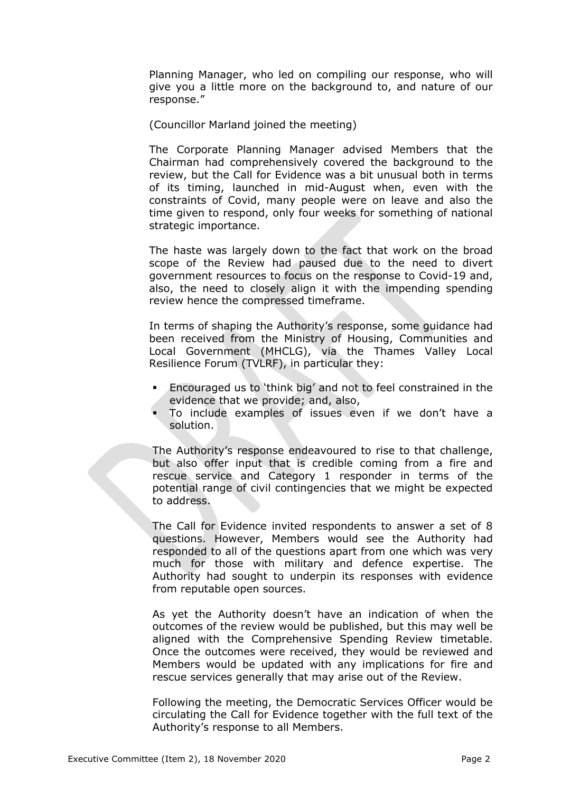Planning Manager, who led on compiling our response, who will give you a little more on the background to, and nature of our response."

(Councillor Marland joined the meeting)

The Corporate Planning Manager advised Members that the Chairman had comprehensively covered the background to the review, but the Call for Evidence was a bit unusual both in terms of its timing, launched in mid-August when, even with the constraints of Covid, many people were on leave and also the time given to respond, only four weeks for something of national strategic importance.

The haste was largely down to the fact that work on the broad scope of the Review had paused due to the need to divert government resources to focus on the response to Covid-19 and, also, the need to closely align it with the impending spending review hence the compressed timeframe.

In terms of shaping the Authority's response, some guidance had been received from the Ministry of Housing, Communities and Local Government (MHCLG), via the Thames Valley Local Resilience Forum (TVLRF), in particular they:

- Encouraged us to 'think big' and not to feel constrained in the evidence that we provide; and, also,
- To include examples of issues even if we don't have a solution.

The Authority's response endeavoured to rise to that challenge, but also offer input that is credible coming from a fire and rescue service and Category 1 responder in terms of the potential range of civil contingencies that we might be expected to address.

The Call for Evidence invited respondents to answer a set of 8 questions. However, Members would see the Authority had responded to all of the questions apart from one which was very much for those with military and defence expertise. The Authority had sought to underpin its responses with evidence from reputable open sources.

As yet the Authority doesn't have an indication of when the outcomes of the review would be published, but this may well be aligned with the Comprehensive Spending Review timetable. Once the outcomes were received, they would be reviewed and Members would be updated with any implications for fire and rescue services generally that may arise out of the Review.

Following the meeting, the Democratic Services Officer would be circulating the Call for Evidence together with the full text of the Authority's response to all Members.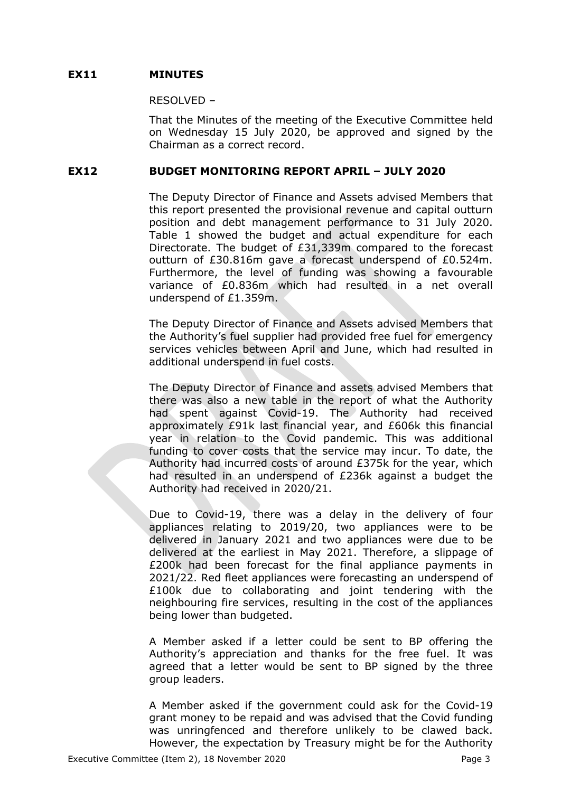# **EX11 MINUTES**

#### RESOLVED –

That the Minutes of the meeting of the Executive Committee held on Wednesday 15 July 2020, be approved and signed by the Chairman as a correct record.

# **EX12 BUDGET MONITORING REPORT APRIL – JULY 2020**

The Deputy Director of Finance and Assets advised Members that this report presented the provisional revenue and capital outturn position and debt management performance to 31 July 2020. Table 1 showed the budget and actual expenditure for each Directorate. The budget of £31,339m compared to the forecast outturn of £30.816m gave a forecast underspend of £0.524m. Furthermore, the level of funding was showing a favourable variance of £0.836m which had resulted in a net overall underspend of £1.359m.

The Deputy Director of Finance and Assets advised Members that the Authority's fuel supplier had provided free fuel for emergency services vehicles between April and June, which had resulted in additional underspend in fuel costs.

The Deputy Director of Finance and assets advised Members that there was also a new table in the report of what the Authority had spent against Covid-19. The Authority had received approximately £91k last financial year, and £606k this financial year in relation to the Covid pandemic. This was additional funding to cover costs that the service may incur. To date, the Authority had incurred costs of around £375k for the year, which had resulted in an underspend of £236k against a budget the Authority had received in 2020/21.

Due to Covid-19, there was a delay in the delivery of four appliances relating to 2019/20, two appliances were to be delivered in January 2021 and two appliances were due to be delivered at the earliest in May 2021. Therefore, a slippage of £200k had been forecast for the final appliance payments in 2021/22. Red fleet appliances were forecasting an underspend of £100k due to collaborating and joint tendering with the neighbouring fire services, resulting in the cost of the appliances being lower than budgeted.

A Member asked if a letter could be sent to BP offering the Authority's appreciation and thanks for the free fuel. It was agreed that a letter would be sent to BP signed by the three group leaders.

A Member asked if the government could ask for the Covid-19 grant money to be repaid and was advised that the Covid funding was unringfenced and therefore unlikely to be clawed back. However, the expectation by Treasury might be for the Authority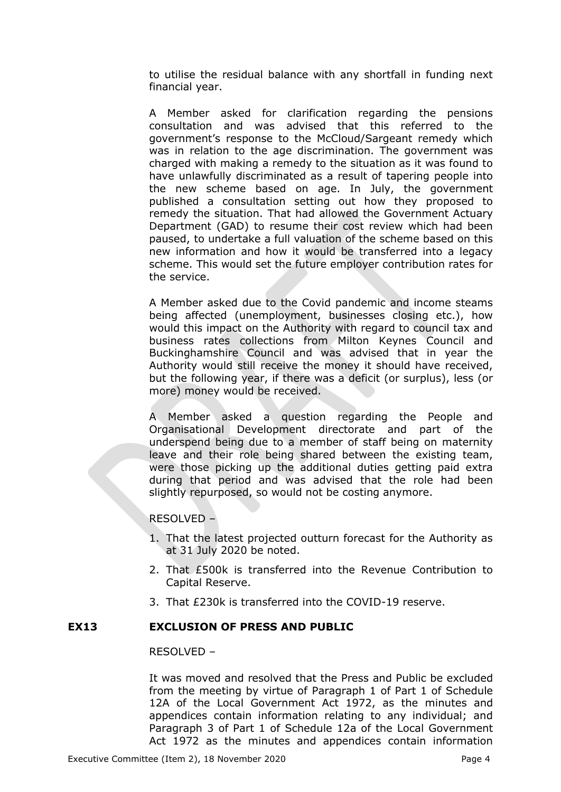to utilise the residual balance with any shortfall in funding next financial year.

A Member asked for clarification regarding the pensions consultation and was advised that this referred to the government's response to the McCloud/Sargeant remedy which was in relation to the age discrimination. The government was charged with making a remedy to the situation as it was found to have unlawfully discriminated as a result of tapering people into the new scheme based on age. In July, the government published a consultation setting out how they proposed to remedy the situation. That had allowed the Government Actuary Department (GAD) to resume their cost review which had been paused, to undertake a full valuation of the scheme based on this new information and how it would be transferred into a legacy scheme. This would set the future employer contribution rates for the service.

A Member asked due to the Covid pandemic and income steams being affected (unemployment, businesses closing etc.), how would this impact on the Authority with regard to council tax and business rates collections from Milton Keynes Council and Buckinghamshire Council and was advised that in year the Authority would still receive the money it should have received, but the following year, if there was a deficit (or surplus), less (or more) money would be received.

A Member asked a question regarding the People and Organisational Development directorate and part of the underspend being due to a member of staff being on maternity leave and their role being shared between the existing team, were those picking up the additional duties getting paid extra during that period and was advised that the role had been slightly repurposed, so would not be costing anymore.

RESOLVED –

- 1. That the latest projected outturn forecast for the Authority as at 31 July 2020 be noted.
- 2. That £500k is transferred into the Revenue Contribution to Capital Reserve.
- 3. That £230k is transferred into the COVID-19 reserve.

### **EX13 EXCLUSION OF PRESS AND PUBLIC**

RESOLVED –

It was moved and resolved that the Press and Public be excluded from the meeting by virtue of Paragraph 1 of Part 1 of Schedule 12A of the Local Government Act 1972, as the minutes and appendices contain information relating to any individual; and Paragraph 3 of Part 1 of Schedule 12a of the Local Government Act 1972 as the minutes and appendices contain information